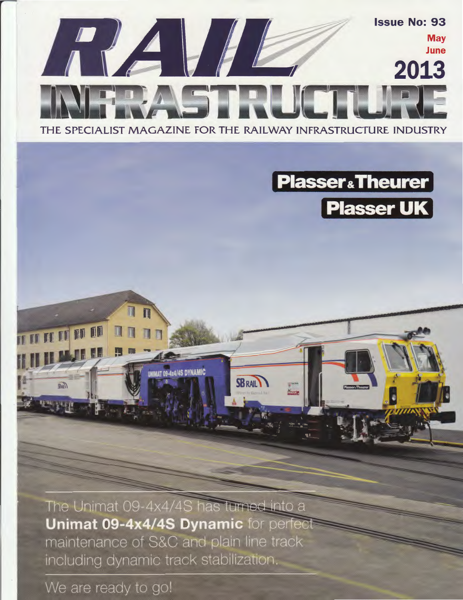



The Unimat 09-4x4/4S has turned into a **Unimat 09-4x4/4S Dynamic for perfect** maintenance of S&C and plain line track including dynamic track stabilization.

We are ready to go!